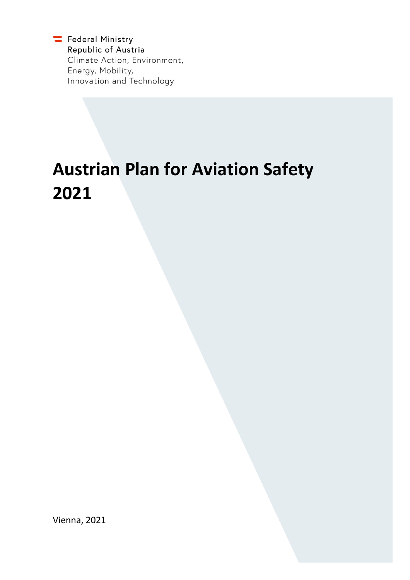Federal Ministry Republic of Austria Climate Action, Environment, Energy, Mobility, Innovation and Technology

# **Austrian Plan for Aviation Safety 2021**

Vienna, 2021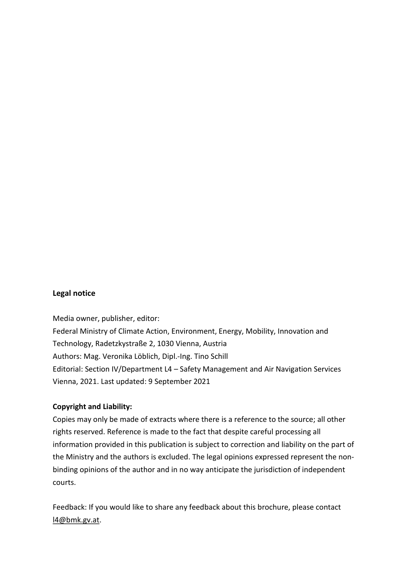#### <span id="page-1-0"></span>**Legal notice**

Media owner, publisher, editor:

Federal Ministry of Climate Action, Environment, Energy, Mobility, Innovation and Technology, Radetzkystraße 2, 1030 Vienna, Austria Authors: Mag. Veronika Löblich, Dipl.-Ing. Tino Schill Editorial: Section IV/Department L4 – Safety Management and Air Navigation Services Vienna, 2021. Last updated: 9 September 2021

#### **Copyright and Liability:**

Copies may only be made of extracts where there is a reference to the source; all other rights reserved. Reference is made to the fact that despite careful processing all information provided in this publication is subject to correction and liability on the part of the Ministry and the authors is excluded. The legal opinions expressed represent the nonbinding opinions of the author and in no way anticipate the jurisdiction of independent courts.

Feedback: If you would like to share any feedback about this brochure, please contact [l4@bmk.gv.at.](mailto:l4@bmk.gv.at)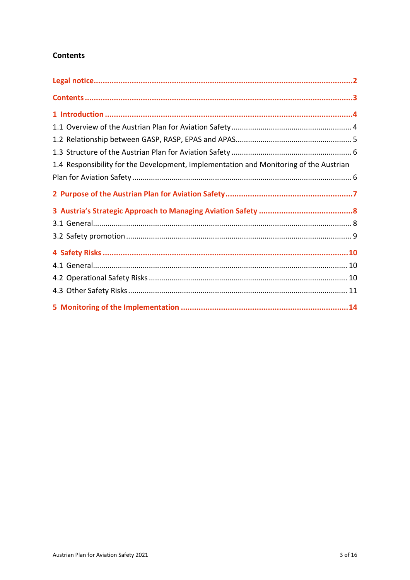### <span id="page-2-0"></span>**Contents**

| 1.4 Responsibility for the Development, Implementation and Monitoring of the Austrian |  |
|---------------------------------------------------------------------------------------|--|
|                                                                                       |  |
|                                                                                       |  |
|                                                                                       |  |
|                                                                                       |  |
|                                                                                       |  |
|                                                                                       |  |
|                                                                                       |  |
|                                                                                       |  |
|                                                                                       |  |
|                                                                                       |  |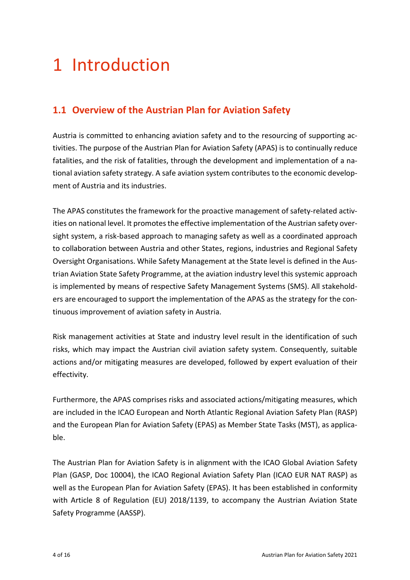## <span id="page-3-0"></span>1 Introduction

### <span id="page-3-1"></span>**1.1 Overview of the Austrian Plan for Aviation Safety**

Austria is committed to enhancing aviation safety and to the resourcing of supporting activities. The purpose of the Austrian Plan for Aviation Safety (APAS) is to continually reduce fatalities, and the risk of fatalities, through the development and implementation of a national aviation safety strategy. A safe aviation system contributes to the economic development of Austria and its industries.

The APAS constitutes the framework for the proactive management of safety-related activities on national level. It promotes the effective implementation of the Austrian safety oversight system, a risk-based approach to managing safety as well as a coordinated approach to collaboration between Austria and other States, regions, industries and Regional Safety Oversight Organisations. While Safety Management at the State level is defined in the Austrian Aviation State Safety Programme, at the aviation industry level this systemic approach is implemented by means of respective Safety Management Systems (SMS). All stakeholders are encouraged to support the implementation of the APAS as the strategy for the continuous improvement of aviation safety in Austria.

Risk management activities at State and industry level result in the identification of such risks, which may impact the Austrian civil aviation safety system. Consequently, suitable actions and/or mitigating measures are developed, followed by expert evaluation of their effectivity.

Furthermore, the APAS comprises risks and associated actions/mitigating measures, which are included in the ICAO European and North Atlantic Regional Aviation Safety Plan (RASP) and the European Plan for Aviation Safety (EPAS) as Member State Tasks (MST), as applicable.

The Austrian Plan for Aviation Safety is in alignment with the ICAO Global Aviation Safety Plan (GASP, Doc 10004), the ICAO Regional Aviation Safety Plan (ICAO EUR NAT RASP) as well as the European Plan for Aviation Safety (EPAS). It has been established in conformity with Article 8 of Regulation (EU) 2018/1139, to accompany the Austrian Aviation State Safety Programme (AASSP).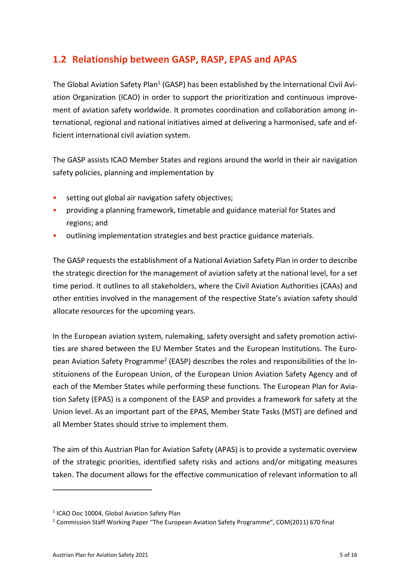### <span id="page-4-0"></span>**1.2 Relationship between GASP, RASP, EPAS and APAS**

<span id="page-4-3"></span>The Global Aviation Safety Plan<sup>[1](#page-4-1)</sup> (GASP) has been established by the International Civil Aviation Organization (ICAO) in order to support the prioritization and continuous improvement of aviation safety worldwide. It promotes coordination and collaboration among international, regional and national initiatives aimed at delivering a harmonised, safe and efficient international civil aviation system.

The GASP assists ICAO Member States and regions around the world in their air navigation safety policies, planning and implementation by

- setting out global air navigation safety objectives;
- providing a planning framework, timetable and guidance material for States and regions; and
- outlining implementation strategies and best practice guidance materials.

The GASP requests the establishment of a National Aviation Safety Plan in order to describe the strategic direction for the management of aviation safety at the national level, for a set time period. It outlines to all stakeholders, where the Civil Aviation Authorities (CAAs) and other entities involved in the management of the respective State's aviation safety should allocate resources for the upcoming years.

<span id="page-4-4"></span>In the European aviation system, rulemaking, safety oversight and safety promotion activities are shared between the EU Member States and the European Institutions. The Euro-pean Aviation Safety Programme<sup>[2](#page-4-2)</sup> (EASP) describes the roles and responsibilities of the Instituionens of the European Union, of the European Union Aviation Safety Agency and of each of the Member States while performing these functions. The European Plan for Aviation Safety (EPAS) is a component of the EASP and provides a framework for safety at the Union level. As an important part of the EPAS, Member State Tasks (MST) are defined and all Member States should strive to implement them.

The aim of this Austrian Plan for Aviation Safety (APAS) is to provide a systematic overview of the strategic priorities, identified safety risks and actions and/or mitigating measures taken. The document allows for the effective communication of relevant information to all

<span id="page-4-1"></span><sup>&</sup>lt;sup>[1](#page-4-3)</sup> ICAO Doc 10004, Global Aviation Safety Plan

<span id="page-4-2"></span><sup>&</sup>lt;sup>[2](#page-4-4)</sup> Commission Staff Working Paper "The European Aviation Safety Programme", COM(2011) 670 final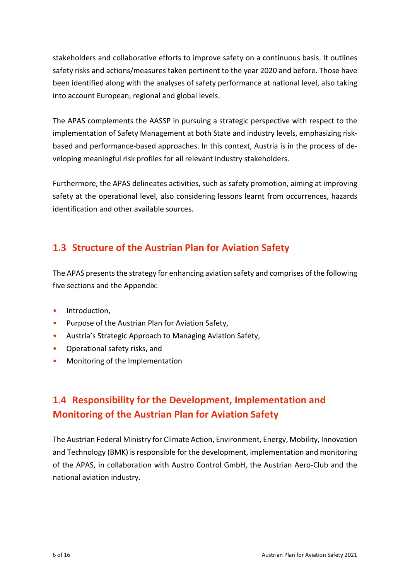stakeholders and collaborative efforts to improve safety on a continuous basis. It outlines safety risks and actions/measures taken pertinent to the year 2020 and before. Those have been identified along with the analyses of safety performance at national level, also taking into account European, regional and global levels.

The APAS complements the AASSP in pursuing a strategic perspective with respect to the implementation of Safety Management at both State and industry levels, emphasizing riskbased and performance-based approaches. In this context, Austria is in the process of developing meaningful risk profiles for all relevant industry stakeholders.

Furthermore, the APAS delineates activities, such as safety promotion, aiming at improving safety at the operational level, also considering lessons learnt from occurrences, hazards identification and other available sources.

### <span id="page-5-0"></span>**1.3 Structure of the Austrian Plan for Aviation Safety**

The APAS presents the strategy for enhancing aviation safety and comprises of the following five sections and the Appendix:

- Introduction,
- Purpose of the Austrian Plan for Aviation Safety,
- Austria's Strategic Approach to Managing Aviation Safety,
- Operational safety risks, and
- <span id="page-5-1"></span>• Monitoring of the Implementation

## **1.4 Responsibility for the Development, Implementation and Monitoring of the Austrian Plan for Aviation Safety**

The Austrian Federal Ministry for Climate Action, Environment, Energy, Mobility, Innovation and Technology (BMK) is responsible for the development, implementation and monitoring of the APAS, in collaboration with Austro Control GmbH, the Austrian Aero-Club and the national aviation industry.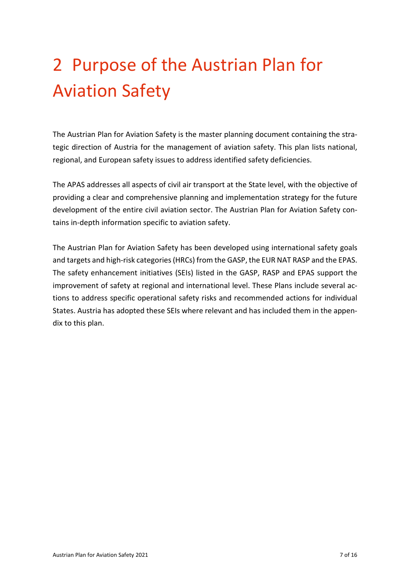# <span id="page-6-0"></span>2 Purpose of the Austrian Plan for Aviation Safety

The Austrian Plan for Aviation Safety is the master planning document containing the strategic direction of Austria for the management of aviation safety. This plan lists national, regional, and European safety issues to address identified safety deficiencies.

The APAS addresses all aspects of civil air transport at the State level, with the objective of providing a clear and comprehensive planning and implementation strategy for the future development of the entire civil aviation sector. The Austrian Plan for Aviation Safety contains in-depth information specific to aviation safety.

The Austrian Plan for Aviation Safety has been developed using international safety goals and targets and high-risk categories(HRCs) from the GASP, the EUR NAT RASP and the EPAS. The safety enhancement initiatives (SEIs) listed in the GASP, RASP and EPAS support the improvement of safety at regional and international level. These Plans include several actions to address specific operational safety risks and recommended actions for individual States. Austria has adopted these SEIs where relevant and has included them in the appendix to this plan.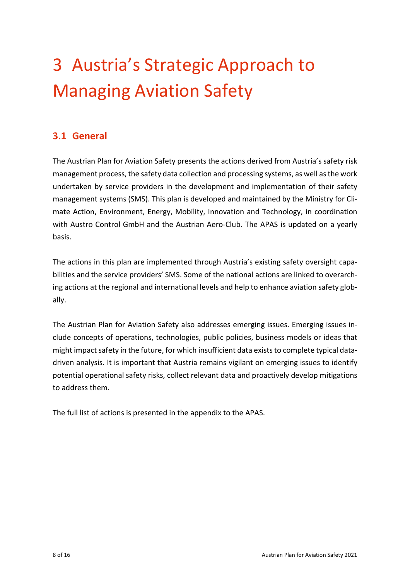# <span id="page-7-0"></span>3 Austria's Strategic Approach to Managing Aviation Safety

### <span id="page-7-1"></span>**3.1 General**

The Austrian Plan for Aviation Safety presents the actions derived from Austria's safety risk management process, the safety data collection and processing systems, as well as the work undertaken by service providers in the development and implementation of their safety management systems (SMS). This plan is developed and maintained by the Ministry for Climate Action, Environment, Energy, Mobility, Innovation and Technology, in coordination with Austro Control GmbH and the Austrian Aero-Club. The APAS is updated on a yearly basis.

The actions in this plan are implemented through Austria's existing safety oversight capabilities and the service providers' SMS. Some of the national actions are linked to overarching actions at the regional and international levels and help to enhance aviation safety globally.

The Austrian Plan for Aviation Safety also addresses emerging issues. Emerging issues include concepts of operations, technologies, public policies, business models or ideas that might impact safety in the future, for which insufficient data exists to complete typical datadriven analysis. It is important that Austria remains vigilant on emerging issues to identify potential operational safety risks, collect relevant data and proactively develop mitigations to address them.

The full list of actions is presented in the appendix to the APAS.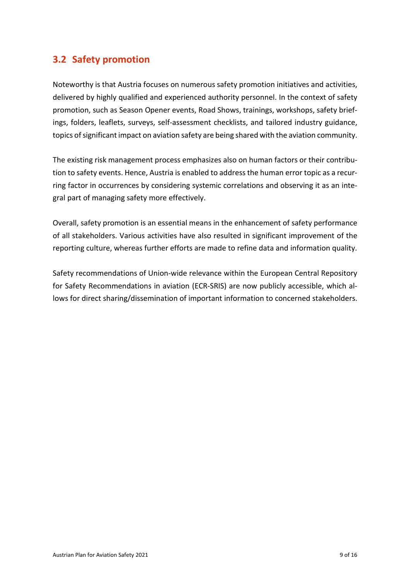### <span id="page-8-0"></span>**3.2 Safety promotion**

Noteworthy is that Austria focuses on numerous safety promotion initiatives and activities, delivered by highly qualified and experienced authority personnel. In the context of safety promotion, such as Season Opener events, Road Shows, trainings, workshops, safety briefings, folders, leaflets, surveys, self-assessment checklists, and tailored industry guidance, topics of significant impact on aviation safety are being shared with the aviation community.

The existing risk management process emphasizes also on human factors or their contribution to safety events. Hence, Austria is enabled to address the human error topic as a recurring factor in occurrences by considering systemic correlations and observing it as an integral part of managing safety more effectively.

Overall, safety promotion is an essential means in the enhancement of safety performance of all stakeholders. Various activities have also resulted in significant improvement of the reporting culture, whereas further efforts are made to refine data and information quality.

Safety recommendations of Union-wide relevance within the European Central Repository for Safety Recommendations in aviation (ECR-SRIS) are now publicly accessible, which allows for direct sharing/dissemination of important information to concerned stakeholders.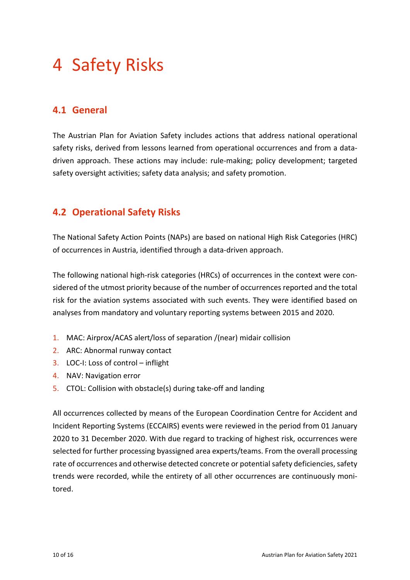## <span id="page-9-0"></span>4 Safety Risks

### <span id="page-9-1"></span>**4.1 General**

The Austrian Plan for Aviation Safety includes actions that address national operational safety risks, derived from lessons learned from operational occurrences and from a datadriven approach. These actions may include: rule-making; policy development; targeted safety oversight activities; safety data analysis; and safety promotion.

### <span id="page-9-2"></span>**4.2 Operational Safety Risks**

The National Safety Action Points (NAPs) are based on national High Risk Categories (HRC) of occurrences in Austria, identified through a data-driven approach.

The following national high-risk categories (HRCs) of occurrences in the context were considered of the utmost priority because of the number of occurrences reported and the total risk for the aviation systems associated with such events. They were identified based on analyses from mandatory and voluntary reporting systems between 2015 and 2020.

- 1. MAC: Airprox/ACAS alert/loss of separation /(near) midair collision
- 2. ARC: Abnormal runway contact
- 3. LOC-I: Loss of control inflight
- 4. NAV: Navigation error
- 5. CTOL: Collision with obstacle(s) during take-off and landing

All occurrences collected by means of the European Coordination Centre for Accident and Incident Reporting Systems (ECCAIRS) events were reviewed in the period from 01 January 2020 to 31 December 2020. With due regard to tracking of highest risk, occurrences were selected for further processing byassigned area experts/teams. From the overall processing rate of occurrences and otherwise detected concrete or potential safety deficiencies, safety trends were recorded, while the entirety of all other occurrences are continuously monitored.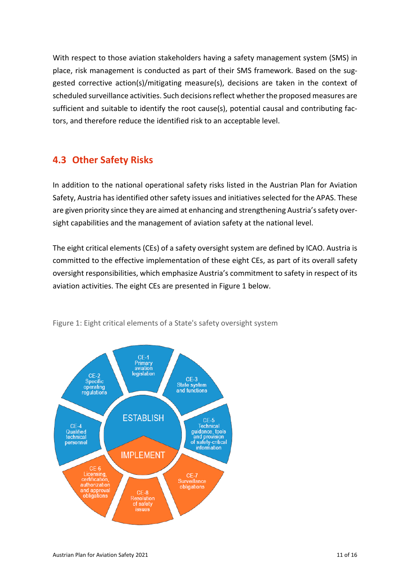With respect to those aviation stakeholders having a safety management system (SMS) in place, risk management is conducted as part of their SMS framework. Based on the suggested corrective action(s)/mitigating measure(s), decisions are taken in the context of scheduled surveillance activities. Such decisions reflect whether the proposed measures are sufficient and suitable to identify the root cause(s), potential causal and contributing factors, and therefore reduce the identified risk to an acceptable level.

### <span id="page-10-0"></span>**4.3 Other Safety Risks**

In addition to the national operational safety risks listed in the Austrian Plan for Aviation Safety, Austria has identified other safety issues and initiatives selected for the APAS. These are given priority since they are aimed at enhancing and strengthening Austria's safety oversight capabilities and the management of aviation safety at the national level.

The eight critical elements (CEs) of a safety oversight system are defined by ICAO. Austria is committed to the effective implementation of these eight CEs, as part of its overall safety oversight responsibilities, which emphasize Austria's commitment to safety in respect of its aviation activities. The eight CEs are presented in [Figure 1](#page-10-1) below.



<span id="page-10-1"></span>Figure 1: Eight critical elements of a State's safety oversight system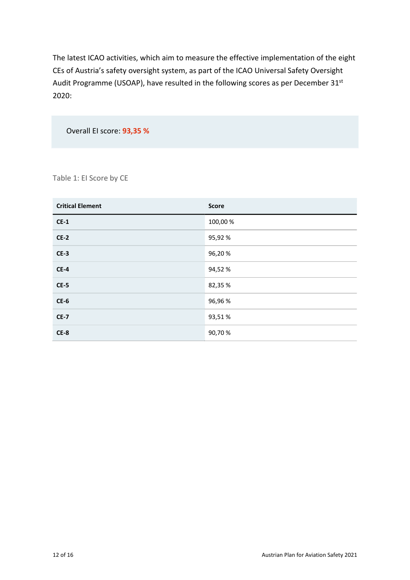The latest ICAO activities, which aim to measure the effective implementation of the eight CEs of Austria's safety oversight system, as part of the ICAO Universal Safety Oversight Audit Programme (USOAP), have resulted in the following scores as per December 31st 2020:

Overall EI score: **93,35 %**

Table 1: EI Score by CE

| <b>Critical Element</b> | <b>Score</b> |
|-------------------------|--------------|
| $CE-1$                  | 100,00%      |
| $CE-2$                  | 95,92%       |
| $CE-3$                  | 96,20%       |
| $CE-4$                  | 94,52%       |
| $CE-5$                  | 82,35 %      |
| $CE-6$                  | 96,96%       |
| <b>CE-7</b>             | 93,51%       |
| $CE-8$                  | 90,70%       |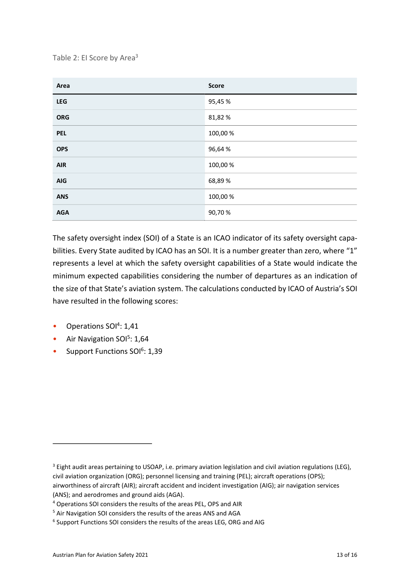<span id="page-12-4"></span>Table 2: EI Score by Area<sup>[3](#page-12-0)</sup>

| Area       | <b>Score</b> |
|------------|--------------|
| LEG        | 95,45 %      |
| <b>ORG</b> | 81,82%       |
| <b>PEL</b> | 100,00%      |
| <b>OPS</b> | 96,64%       |
| <b>AIR</b> | 100,00%      |
| <b>AIG</b> | 68,89%       |
| <b>ANS</b> | 100,00 %     |
| <b>AGA</b> | 90,70%       |

The safety oversight index (SOI) of a State is an ICAO indicator of its safety oversight capabilities. Every State audited by ICAO has an SOI. It is a number greater than zero, where "1" represents a level at which the safety oversight capabilities of a State would indicate the minimum expected capabilities considering the number of departures as an indication of the size of that State's aviation system. The calculations conducted by ICAO of Austria's SOI have resulted in the following scores:

- <span id="page-12-5"></span>• Operations SOI<sup>[4](#page-12-1)</sup>: 1,41
- <span id="page-12-6"></span>• Air Navigation SOI<sup>[5](#page-12-2)</sup>: 1,64
- <span id="page-12-7"></span>• Support Functions SOI<sup>[6](#page-12-3)</sup>: 1,39

<span id="page-12-0"></span> $3$  Eight audit areas pertaining to USOAP, i.e. primary aviation legislation and civil aviation regulations (LEG), civil aviation organization (ORG); personnel licensing and training (PEL); aircraft operations (OPS); airworthiness of aircraft (AIR); aircraft accident and incident investigation (AIG); air navigation services (ANS); and aerodromes and ground aids (AGA).

<span id="page-12-1"></span>[<sup>4</sup>](#page-12-5) Operations SOI considers the results of the areas PEL, OPS and AIR

<span id="page-12-2"></span>[<sup>5</sup>](#page-12-6) Air Navigation SOI considers the results of the areas ANS and AGA

<span id="page-12-3"></span><sup>&</sup>lt;sup>[6](#page-12-7)</sup> Support Functions SOI considers the results of the areas LEG, ORG and AIG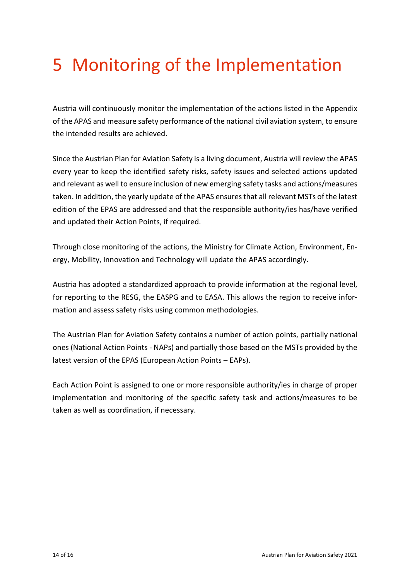## <span id="page-13-0"></span>5 Monitoring of the Implementation

Austria will continuously monitor the implementation of the actions listed in the Appendix of the APAS and measure safety performance of the national civil aviation system, to ensure the intended results are achieved.

Since the Austrian Plan for Aviation Safety is a living document, Austria will review the APAS every year to keep the identified safety risks, safety issues and selected actions updated and relevant as well to ensure inclusion of new emerging safety tasks and actions/measures taken. In addition, the yearly update of the APAS ensures that all relevant MSTs of the latest edition of the EPAS are addressed and that the responsible authority/ies has/have verified and updated their Action Points, if required.

Through close monitoring of the actions, the Ministry for Climate Action, Environment, Energy, Mobility, Innovation and Technology will update the APAS accordingly.

Austria has adopted a standardized approach to provide information at the regional level, for reporting to the RESG, the EASPG and to EASA. This allows the region to receive information and assess safety risks using common methodologies.

The Austrian Plan for Aviation Safety contains a number of action points, partially national ones (National Action Points - NAPs) and partially those based on the MSTs provided by the latest version of the EPAS (European Action Points – EAPs).

Each Action Point is assigned to one or more responsible authority/ies in charge of proper implementation and monitoring of the specific safety task and actions/measures to be taken as well as coordination, if necessary.